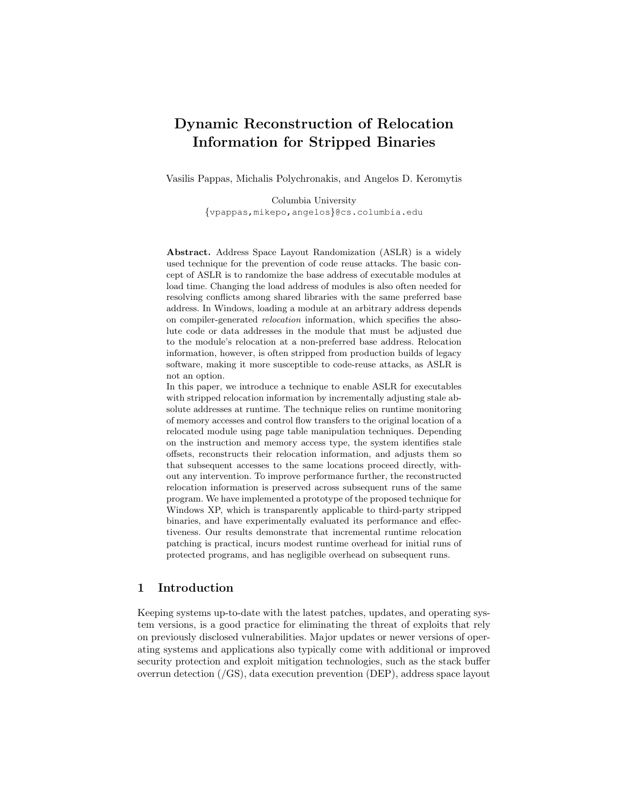# Dynamic Reconstruction of Relocation Information for Stripped Binaries

Vasilis Pappas, Michalis Polychronakis, and Angelos D. Keromytis

Columbia University {vpappas,mikepo,angelos}@cs.columbia.edu

Abstract. Address Space Layout Randomization (ASLR) is a widely used technique for the prevention of code reuse attacks. The basic concept of ASLR is to randomize the base address of executable modules at load time. Changing the load address of modules is also often needed for resolving conflicts among shared libraries with the same preferred base address. In Windows, loading a module at an arbitrary address depends on compiler-generated relocation information, which specifies the absolute code or data addresses in the module that must be adjusted due to the module's relocation at a non-preferred base address. Relocation information, however, is often stripped from production builds of legacy software, making it more susceptible to code-reuse attacks, as ASLR is not an option.

In this paper, we introduce a technique to enable ASLR for executables with stripped relocation information by incrementally adjusting stale absolute addresses at runtime. The technique relies on runtime monitoring of memory accesses and control flow transfers to the original location of a relocated module using page table manipulation techniques. Depending on the instruction and memory access type, the system identifies stale offsets, reconstructs their relocation information, and adjusts them so that subsequent accesses to the same locations proceed directly, without any intervention. To improve performance further, the reconstructed relocation information is preserved across subsequent runs of the same program. We have implemented a prototype of the proposed technique for Windows XP, which is transparently applicable to third-party stripped binaries, and have experimentally evaluated its performance and effectiveness. Our results demonstrate that incremental runtime relocation patching is practical, incurs modest runtime overhead for initial runs of protected programs, and has negligible overhead on subsequent runs.

# 1 Introduction

Keeping systems up-to-date with the latest patches, updates, and operating system versions, is a good practice for eliminating the threat of exploits that rely on previously disclosed vulnerabilities. Major updates or newer versions of operating systems and applications also typically come with additional or improved security protection and exploit mitigation technologies, such as the stack buffer overrun detection (/GS), data execution prevention (DEP), address space layout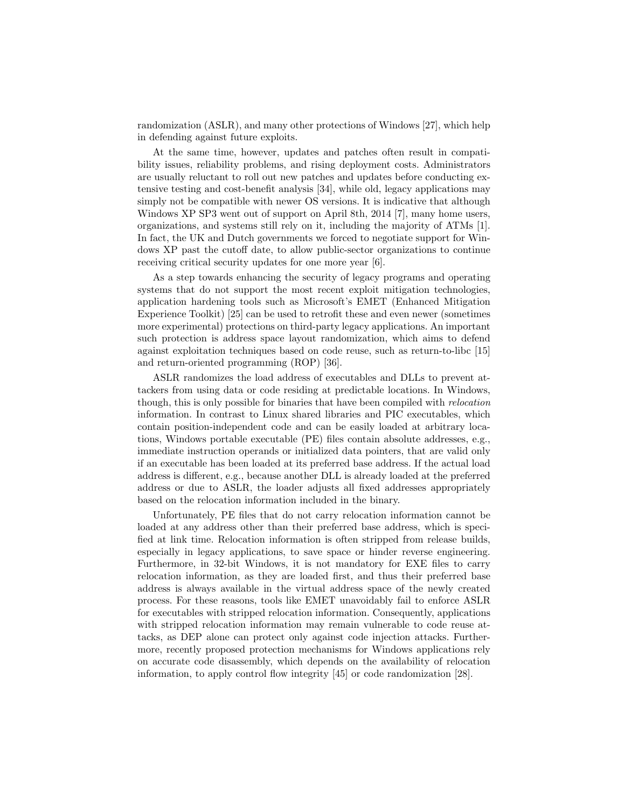randomization (ASLR), and many other protections of Windows [\[27\]](#page-18-0), which help in defending against future exploits.

At the same time, however, updates and patches often result in compatibility issues, reliability problems, and rising deployment costs. Administrators are usually reluctant to roll out new patches and updates before conducting extensive testing and cost-benefit analysis [\[34\]](#page-19-0), while old, legacy applications may simply not be compatible with newer OS versions. It is indicative that although Windows XP SP3 went out of support on April 8th, 2014 [\[7\]](#page-17-0), many home users, organizations, and systems still rely on it, including the majority of ATMs [\[1\]](#page-17-1). In fact, the UK and Dutch governments we forced to negotiate support for Windows XP past the cutoff date, to allow public-sector organizations to continue receiving critical security updates for one more year [\[6\]](#page-17-2).

As a step towards enhancing the security of legacy programs and operating systems that do not support the most recent exploit mitigation technologies, application hardening tools such as Microsoft's EMET (Enhanced Mitigation Experience Toolkit) [\[25\]](#page-18-1) can be used to retrofit these and even newer (sometimes more experimental) protections on third-party legacy applications. An important such protection is address space layout randomization, which aims to defend against exploitation techniques based on code reuse, such as return-to-libc [\[15\]](#page-17-3) and return-oriented programming (ROP) [\[36\]](#page-19-1).

ASLR randomizes the load address of executables and DLLs to prevent attackers from using data or code residing at predictable locations. In Windows, though, this is only possible for binaries that have been compiled with relocation information. In contrast to Linux shared libraries and PIC executables, which contain position-independent code and can be easily loaded at arbitrary locations, Windows portable executable (PE) files contain absolute addresses, e.g., immediate instruction operands or initialized data pointers, that are valid only if an executable has been loaded at its preferred base address. If the actual load address is different, e.g., because another DLL is already loaded at the preferred address or due to ASLR, the loader adjusts all fixed addresses appropriately based on the relocation information included in the binary.

Unfortunately, PE files that do not carry relocation information cannot be loaded at any address other than their preferred base address, which is specified at link time. Relocation information is often stripped from release builds, especially in legacy applications, to save space or hinder reverse engineering. Furthermore, in 32-bit Windows, it is not mandatory for EXE files to carry relocation information, as they are loaded first, and thus their preferred base address is always available in the virtual address space of the newly created process. For these reasons, tools like EMET unavoidably fail to enforce ASLR for executables with stripped relocation information. Consequently, applications with stripped relocation information may remain vulnerable to code reuse attacks, as DEP alone can protect only against code injection attacks. Furthermore, recently proposed protection mechanisms for Windows applications rely on accurate code disassembly, which depends on the availability of relocation information, to apply control flow integrity [\[45\]](#page-19-2) or code randomization [\[28\]](#page-18-2).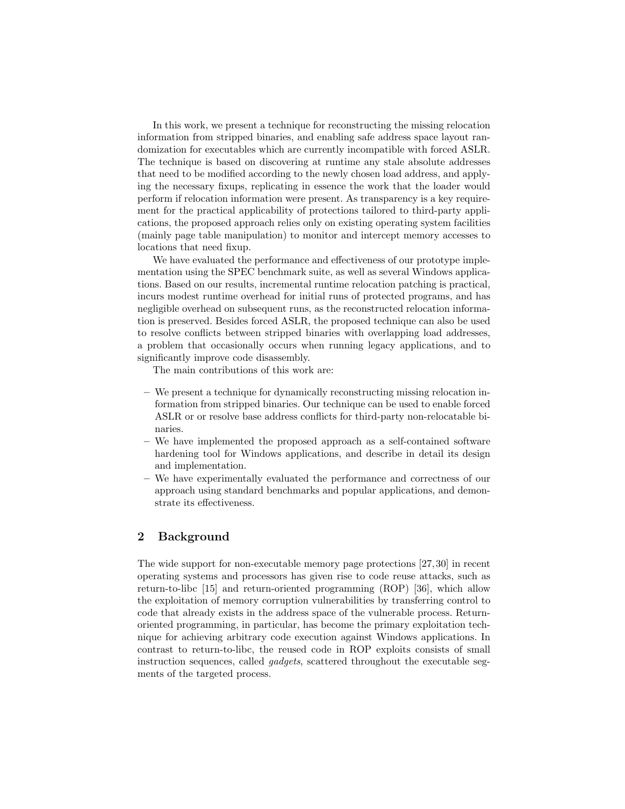In this work, we present a technique for reconstructing the missing relocation information from stripped binaries, and enabling safe address space layout randomization for executables which are currently incompatible with forced ASLR. The technique is based on discovering at runtime any stale absolute addresses that need to be modified according to the newly chosen load address, and applying the necessary fixups, replicating in essence the work that the loader would perform if relocation information were present. As transparency is a key requirement for the practical applicability of protections tailored to third-party applications, the proposed approach relies only on existing operating system facilities (mainly page table manipulation) to monitor and intercept memory accesses to locations that need fixup.

We have evaluated the performance and effectiveness of our prototype implementation using the SPEC benchmark suite, as well as several Windows applications. Based on our results, incremental runtime relocation patching is practical, incurs modest runtime overhead for initial runs of protected programs, and has negligible overhead on subsequent runs, as the reconstructed relocation information is preserved. Besides forced ASLR, the proposed technique can also be used to resolve conflicts between stripped binaries with overlapping load addresses, a problem that occasionally occurs when running legacy applications, and to significantly improve code disassembly.

The main contributions of this work are:

- We present a technique for dynamically reconstructing missing relocation information from stripped binaries. Our technique can be used to enable forced ASLR or or resolve base address conflicts for third-party non-relocatable binaries.
- We have implemented the proposed approach as a self-contained software hardening tool for Windows applications, and describe in detail its design and implementation.
- We have experimentally evaluated the performance and correctness of our approach using standard benchmarks and popular applications, and demonstrate its effectiveness.

# 2 Background

The wide support for non-executable memory page protections [\[27,](#page-18-0)[30\]](#page-18-3) in recent operating systems and processors has given rise to code reuse attacks, such as return-to-libc [\[15\]](#page-17-3) and return-oriented programming (ROP) [\[36\]](#page-19-1), which allow the exploitation of memory corruption vulnerabilities by transferring control to code that already exists in the address space of the vulnerable process. Returnoriented programming, in particular, has become the primary exploitation technique for achieving arbitrary code execution against Windows applications. In contrast to return-to-libc, the reused code in ROP exploits consists of small instruction sequences, called *gadgets*, scattered throughout the executable segments of the targeted process.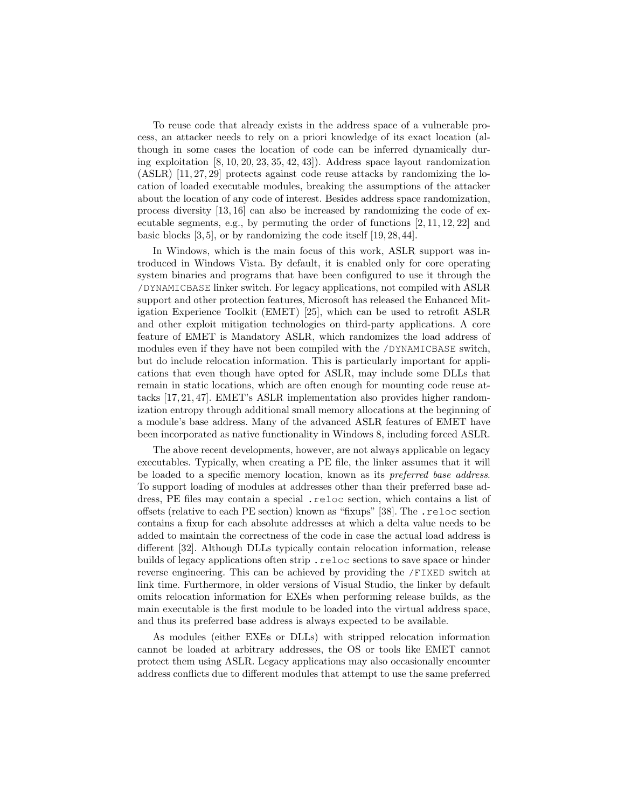To reuse code that already exists in the address space of a vulnerable process, an attacker needs to rely on a priori knowledge of its exact location (although in some cases the location of code can be inferred dynamically during exploitation [\[8,](#page-17-4) [10,](#page-17-5) [20,](#page-18-4) [23,](#page-18-5) [35,](#page-19-3) [42,](#page-19-4) [43\]](#page-19-5)). Address space layout randomization (ASLR) [\[11,](#page-17-6) [27,](#page-18-0) [29\]](#page-18-6) protects against code reuse attacks by randomizing the location of loaded executable modules, breaking the assumptions of the attacker about the location of any code of interest. Besides address space randomization, process diversity [\[13,](#page-17-7) [16\]](#page-18-7) can also be increased by randomizing the code of executable segments, e.g., by permuting the order of functions [\[2,](#page-17-8) [11,](#page-17-6) [12,](#page-17-9) [22\]](#page-18-8) and basic blocks [\[3,](#page-17-10) [5\]](#page-17-11), or by randomizing the code itself [\[19,](#page-18-9) [28,](#page-18-2) [44\]](#page-19-6).

In Windows, which is the main focus of this work, ASLR support was introduced in Windows Vista. By default, it is enabled only for core operating system binaries and programs that have been configured to use it through the /DYNAMICBASE linker switch. For legacy applications, not compiled with ASLR support and other protection features, Microsoft has released the Enhanced Mitigation Experience Toolkit (EMET) [\[25\]](#page-18-1), which can be used to retrofit ASLR and other exploit mitigation technologies on third-party applications. A core feature of EMET is Mandatory ASLR, which randomizes the load address of modules even if they have not been compiled with the /DYNAMICBASE switch, but do include relocation information. This is particularly important for applications that even though have opted for ASLR, may include some DLLs that remain in static locations, which are often enough for mounting code reuse attacks [\[17,](#page-18-10) [21,](#page-18-11) [47\]](#page-19-7). EMET's ASLR implementation also provides higher randomization entropy through additional small memory allocations at the beginning of a module's base address. Many of the advanced ASLR features of EMET have been incorporated as native functionality in Windows 8, including forced ASLR.

The above recent developments, however, are not always applicable on legacy executables. Typically, when creating a PE file, the linker assumes that it will be loaded to a specific memory location, known as its preferred base address. To support loading of modules at addresses other than their preferred base address, PE files may contain a special .reloc section, which contains a list of offsets (relative to each PE section) known as "fixups" [\[38\]](#page-19-8). The .reloc section contains a fixup for each absolute addresses at which a delta value needs to be added to maintain the correctness of the code in case the actual load address is different [\[32\]](#page-18-12). Although DLLs typically contain relocation information, release builds of legacy applications often strip . reloc sections to save space or hinder reverse engineering. This can be achieved by providing the /FIXED switch at link time. Furthermore, in older versions of Visual Studio, the linker by default omits relocation information for EXEs when performing release builds, as the main executable is the first module to be loaded into the virtual address space, and thus its preferred base address is always expected to be available.

As modules (either EXEs or DLLs) with stripped relocation information cannot be loaded at arbitrary addresses, the OS or tools like EMET cannot protect them using ASLR. Legacy applications may also occasionally encounter address conflicts due to different modules that attempt to use the same preferred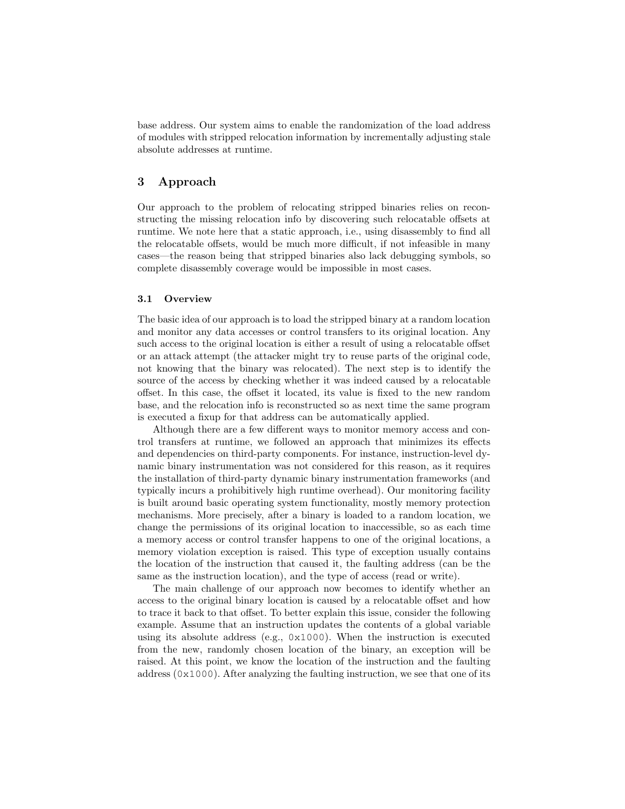base address. Our system aims to enable the randomization of the load address of modules with stripped relocation information by incrementally adjusting stale absolute addresses at runtime.

# <span id="page-4-0"></span>3 Approach

Our approach to the problem of relocating stripped binaries relies on reconstructing the missing relocation info by discovering such relocatable offsets at runtime. We note here that a static approach, i.e., using disassembly to find all the relocatable offsets, would be much more difficult, if not infeasible in many cases—the reason being that stripped binaries also lack debugging symbols, so complete disassembly coverage would be impossible in most cases.

#### 3.1 Overview

The basic idea of our approach is to load the stripped binary at a random location and monitor any data accesses or control transfers to its original location. Any such access to the original location is either a result of using a relocatable offset or an attack attempt (the attacker might try to reuse parts of the original code, not knowing that the binary was relocated). The next step is to identify the source of the access by checking whether it was indeed caused by a relocatable offset. In this case, the offset it located, its value is fixed to the new random base, and the relocation info is reconstructed so as next time the same program is executed a fixup for that address can be automatically applied.

Although there are a few different ways to monitor memory access and control transfers at runtime, we followed an approach that minimizes its effects and dependencies on third-party components. For instance, instruction-level dynamic binary instrumentation was not considered for this reason, as it requires the installation of third-party dynamic binary instrumentation frameworks (and typically incurs a prohibitively high runtime overhead). Our monitoring facility is built around basic operating system functionality, mostly memory protection mechanisms. More precisely, after a binary is loaded to a random location, we change the permissions of its original location to inaccessible, so as each time a memory access or control transfer happens to one of the original locations, a memory violation exception is raised. This type of exception usually contains the location of the instruction that caused it, the faulting address (can be the same as the instruction location), and the type of access (read or write).

The main challenge of our approach now becomes to identify whether an access to the original binary location is caused by a relocatable offset and how to trace it back to that offset. To better explain this issue, consider the following example. Assume that an instruction updates the contents of a global variable using its absolute address (e.g., 0x1000). When the instruction is executed from the new, randomly chosen location of the binary, an exception will be raised. At this point, we know the location of the instruction and the faulting address  $(0 \times 1000)$ . After analyzing the faulting instruction, we see that one of its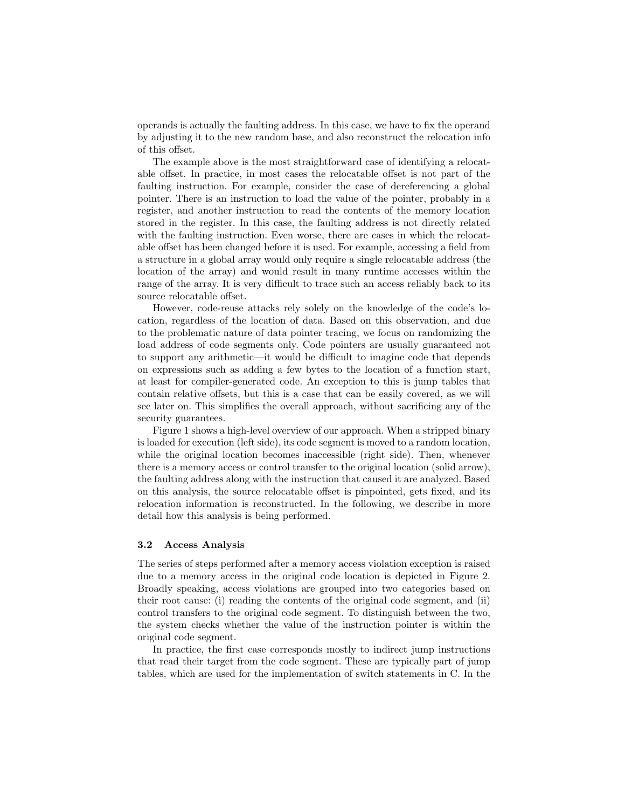operands is actually the faulting address. In this case, we have to fix the operand by adjusting it to the new random base, and also reconstruct the relocation info of this offset.

The example above is the most straightforward case of identifying a relocatable offset. In practice, in most cases the relocatable offset is not part of the faulting instruction. For example, consider the case of dereferencing a global pointer. There is an instruction to load the value of the pointer, probably in a register, and another instruction to read the contents of the memory location stored in the register. In this case, the faulting address is not directly related with the faulting instruction. Even worse, there are cases in which the relocatable offset has been changed before it is used. For example, accessing a field from a structure in a global array would only require a single relocatable address (the location of the array) and would result in many runtime accesses within the range of the array. It is very difficult to trace such an access reliably back to its source relocatable offset.

However, code-reuse attacks rely solely on the knowledge of the code's location, regardless of the location of data. Based on this observation, and due to the problematic nature of data pointer tracing, we focus on randomizing the load address of code segments only. Code pointers are usually guaranteed not to support any arithmetic—it would be difficult to imagine code that depends on expressions such as adding a few bytes to the location of a function start, at least for compiler-generated code. An exception to this is jump tables that contain relative offsets, but this is a case that can be easily covered, as we will see later on. This simplifies the overall approach, without sacrificing any of the security guarantees.

Figure [1](#page-6-0) shows a high-level overview of our approach. When a stripped binary is loaded for execution (left side), its code segment is moved to a random location, while the original location becomes inaccessible (right side). Then, whenever there is a memory access or control transfer to the original location (solid arrow), the faulting address along with the instruction that caused it are analyzed. Based on this analysis, the source relocatable offset is pinpointed, gets fixed, and its relocation information is reconstructed. In the following, we describe in more detail how this analysis is being performed.

### 3.2 Access Analysis

The series of steps performed after a memory access violation exception is raised due to a memory access in the original code location is depicted in Figure [2.](#page-7-0) Broadly speaking, access violations are grouped into two categories based on their root cause: (i) reading the contents of the original code segment, and (ii) control transfers to the original code segment. To distinguish between the two, the system checks whether the value of the instruction pointer is within the original code segment.

In practice, the first case corresponds mostly to indirect jump instructions that read their target from the code segment. These are typically part of jump tables, which are used for the implementation of switch statements in C. In the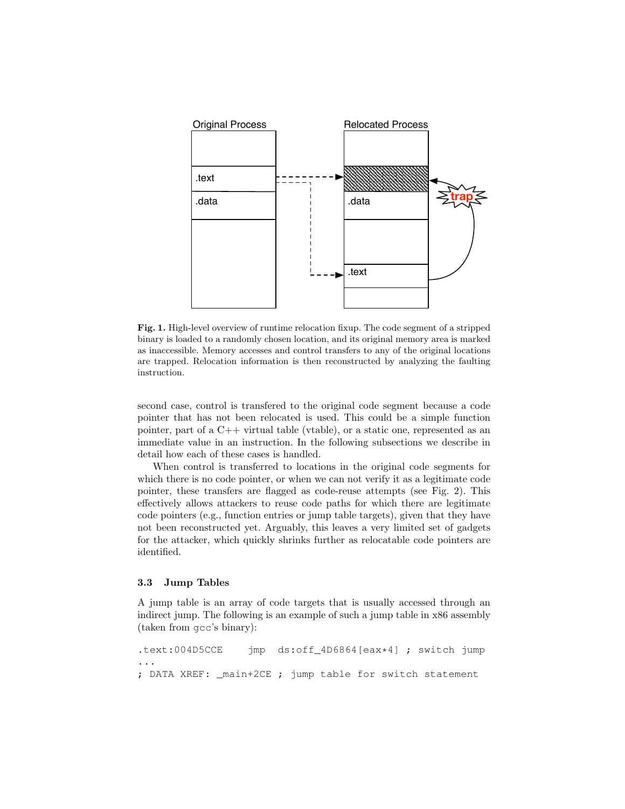

<span id="page-6-0"></span>Fig. 1. High-level overview of runtime relocation fixup. The code segment of a stripped binary is loaded to a randomly chosen location, and its original memory area is marked as inaccessible. Memory accesses and control transfers to any of the original locations are trapped. Relocation information is then reconstructed by analyzing the faulting instruction.

second case, control is transfered to the original code segment because a code pointer that has not been relocated is used. This could be a simple function pointer, part of a  $C++$  virtual table (vtable), or a static one, represented as an immediate value in an instruction. In the following subsections we describe in detail how each of these cases is handled.

When control is transferred to locations in the original code segments for which there is no code pointer, or when we can not verify it as a legitimate code pointer, these transfers are flagged as code-reuse attempts (see Fig. [2\)](#page-7-0). This effectively allows attackers to reuse code paths for which there are legitimate code pointers (e.g., function entries or jump table targets), given that they have not been reconstructed yet. Arguably, this leaves a very limited set of gadgets for the attacker, which quickly shrinks further as relocatable code pointers are identified.

### 3.3 Jump Tables

A jump table is an array of code targets that is usually accessed through an indirect jump. The following is an example of such a jump table in x86 assembly (taken from gcc's binary):

.text:004D5CCE jmp ds:off\_4D6864[eax\*4] ; switch jump ... ; DATA XREF: \_main+2CE ; jump table for switch statement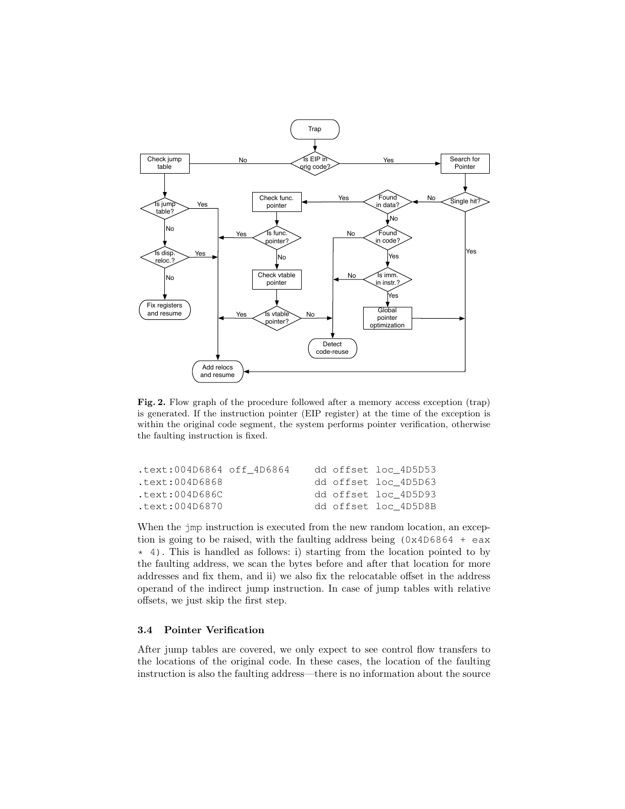

<span id="page-7-0"></span>Fig. 2. Flow graph of the procedure followed after a memory access exception (trap) is generated. If the instruction pointer (EIP register) at the time of the exception is within the original code segment, the system performs pointer verification, otherwise the faulting instruction is fixed.

| .text:004D6864 off 4D6864 | dd offset loc 4D5D53 |
|---------------------------|----------------------|
| text:004D6868             | dd offset loc 4D5D63 |
| .text:004D686C            | dd offset loc 4D5D93 |
| $.$ text:004D6870.        | dd offset loc 4D5D8B |

When the jmp instruction is executed from the new random location, an exception is going to be raised, with the faulting address being (0x4D6864 + eax \* 4). This is handled as follows: i) starting from the location pointed to by the faulting address, we scan the bytes before and after that location for more addresses and fix them, and ii) we also fix the relocatable offset in the address operand of the indirect jump instruction. In case of jump tables with relative offsets, we just skip the first step.

## 3.4 Pointer Verification

After jump tables are covered, we only expect to see control flow transfers to the locations of the original code. In these cases, the location of the faulting instruction is also the faulting address—there is no information about the source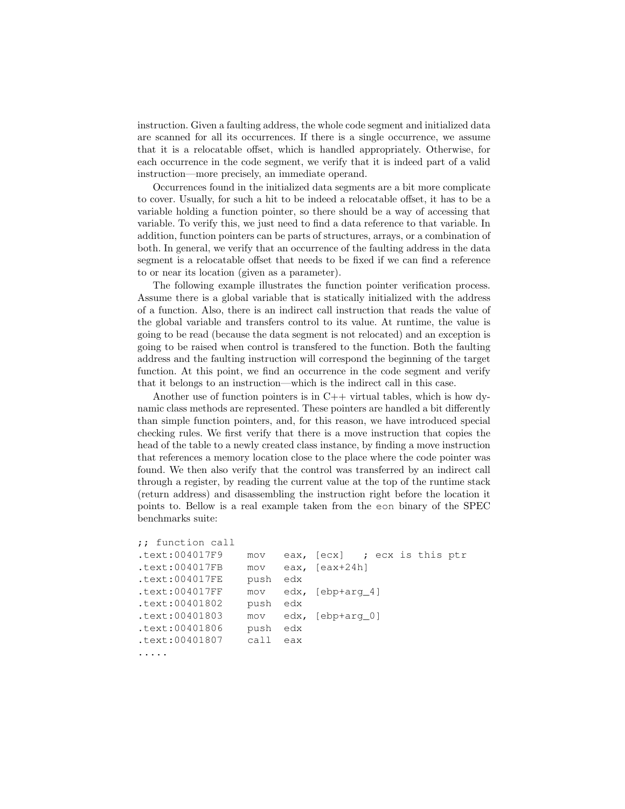instruction. Given a faulting address, the whole code segment and initialized data are scanned for all its occurrences. If there is a single occurrence, we assume that it is a relocatable offset, which is handled appropriately. Otherwise, for each occurrence in the code segment, we verify that it is indeed part of a valid instruction—more precisely, an immediate operand.

Occurrences found in the initialized data segments are a bit more complicate to cover. Usually, for such a hit to be indeed a relocatable offset, it has to be a variable holding a function pointer, so there should be a way of accessing that variable. To verify this, we just need to find a data reference to that variable. In addition, function pointers can be parts of structures, arrays, or a combination of both. In general, we verify that an occurrence of the faulting address in the data segment is a relocatable offset that needs to be fixed if we can find a reference to or near its location (given as a parameter).

The following example illustrates the function pointer verification process. Assume there is a global variable that is statically initialized with the address of a function. Also, there is an indirect call instruction that reads the value of the global variable and transfers control to its value. At runtime, the value is going to be read (because the data segment is not relocated) and an exception is going to be raised when control is transfered to the function. Both the faulting address and the faulting instruction will correspond the beginning of the target function. At this point, we find an occurrence in the code segment and verify that it belongs to an instruction—which is the indirect call in this case.

Another use of function pointers is in  $C++$  virtual tables, which is how dynamic class methods are represented. These pointers are handled a bit differently than simple function pointers, and, for this reason, we have introduced special checking rules. We first verify that there is a move instruction that copies the head of the table to a newly created class instance, by finding a move instruction that references a memory location close to the place where the code pointer was found. We then also verify that the control was transferred by an indirect call through a register, by reading the current value at the top of the runtime stack (return address) and disassembling the instruction right before the location it points to. Bellow is a real example taken from the eon binary of the SPEC benchmarks suite:

```
;; function call
```

```
.text:004017F9 mov eax, [ecx] ; ecx is this ptr
.text:004017FB mov eax, [eax+24h]
.text:004017FE push edx
.text:004017FF mov edx, [ebp+arg_4]
.text:00401802 push edx
.text:00401803 mov edx, [ebp+arg_0]
.text:00401806 push edx
.text:00401807 call eax
.....
```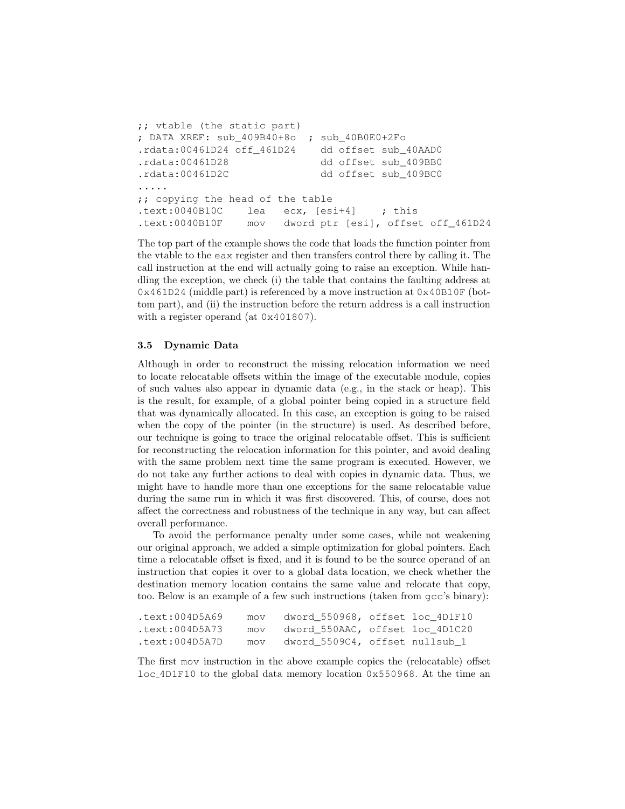```
;; vtable (the static part)
; DATA XREF: sub_409B40+8o ; sub_40B0E0+2Fo
.rdata:00461D24 off_461D24 dd offset sub_40AAD0
.rdata:00461D28 dd offset sub_409BB0
.rdata:00461D2C dd offset sub_409BC0
.....
;; copying the head of the table
.text:0040B10C lea ecx, [esi+4] ; this
.text:0040B10F mov dword ptr [esi], offset off_461D24
```
The top part of the example shows the code that loads the function pointer from the vtable to the eax register and then transfers control there by calling it. The call instruction at the end will actually going to raise an exception. While handling the exception, we check (i) the table that contains the faulting address at 0x461D24 (middle part) is referenced by a move instruction at 0x40B10F (bottom part), and (ii) the instruction before the return address is a call instruction with a register operand (at  $0 \times 401807$ ).

## 3.5 Dynamic Data

Although in order to reconstruct the missing relocation information we need to locate relocatable offsets within the image of the executable module, copies of such values also appear in dynamic data (e.g., in the stack or heap). This is the result, for example, of a global pointer being copied in a structure field that was dynamically allocated. In this case, an exception is going to be raised when the copy of the pointer (in the structure) is used. As described before, our technique is going to trace the original relocatable offset. This is sufficient for reconstructing the relocation information for this pointer, and avoid dealing with the same problem next time the same program is executed. However, we do not take any further actions to deal with copies in dynamic data. Thus, we might have to handle more than one exceptions for the same relocatable value during the same run in which it was first discovered. This, of course, does not affect the correctness and robustness of the technique in any way, but can affect overall performance.

To avoid the performance penalty under some cases, while not weakening our original approach, we added a simple optimization for global pointers. Each time a relocatable offset is fixed, and it is found to be the source operand of an instruction that copies it over to a global data location, we check whether the destination memory location contains the same value and relocate that copy, too. Below is an example of a few such instructions (taken from gcc's binary):

| .text:004D5A69 | MOV | dword 550968, offset loc 4D1F10 |  |
|----------------|-----|---------------------------------|--|
| .text:004D5A73 | MOV | dword 550AAC, offset loc 4D1C20 |  |
| .text:004D5A7D | MOV | dword 5509C4, offset nullsub 1  |  |

The first mov instruction in the above example copies the (relocatable) offset loc 4D1F10 to the global data memory location 0x550968. At the time an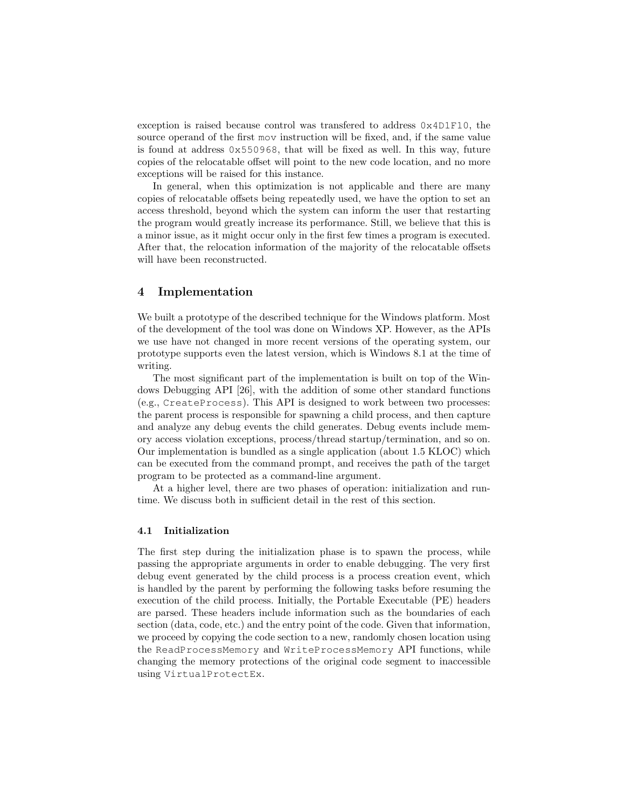exception is raised because control was transfered to address 0x4D1F10, the source operand of the first mov instruction will be fixed, and, if the same value is found at address  $0 \times 550968$ , that will be fixed as well. In this way, future copies of the relocatable offset will point to the new code location, and no more exceptions will be raised for this instance.

In general, when this optimization is not applicable and there are many copies of relocatable offsets being repeatedly used, we have the option to set an access threshold, beyond which the system can inform the user that restarting the program would greatly increase its performance. Still, we believe that this is a minor issue, as it might occur only in the first few times a program is executed. After that, the relocation information of the majority of the relocatable offsets will have been reconstructed.

# 4 Implementation

We built a prototype of the described technique for the Windows platform. Most of the development of the tool was done on Windows XP. However, as the APIs we use have not changed in more recent versions of the operating system, our prototype supports even the latest version, which is Windows 8.1 at the time of writing.

The most significant part of the implementation is built on top of the Windows Debugging API [\[26\]](#page-18-13), with the addition of some other standard functions (e.g., CreateProcess). This API is designed to work between two processes: the parent process is responsible for spawning a child process, and then capture and analyze any debug events the child generates. Debug events include memory access violation exceptions, process/thread startup/termination, and so on. Our implementation is bundled as a single application (about 1.5 KLOC) which can be executed from the command prompt, and receives the path of the target program to be protected as a command-line argument.

At a higher level, there are two phases of operation: initialization and runtime. We discuss both in sufficient detail in the rest of this section.

## 4.1 Initialization

The first step during the initialization phase is to spawn the process, while passing the appropriate arguments in order to enable debugging. The very first debug event generated by the child process is a process creation event, which is handled by the parent by performing the following tasks before resuming the execution of the child process. Initially, the Portable Executable (PE) headers are parsed. These headers include information such as the boundaries of each section (data, code, etc.) and the entry point of the code. Given that information, we proceed by copying the code section to a new, randomly chosen location using the ReadProcessMemory and WriteProcessMemory API functions, while changing the memory protections of the original code segment to inaccessible using VirtualProtectEx.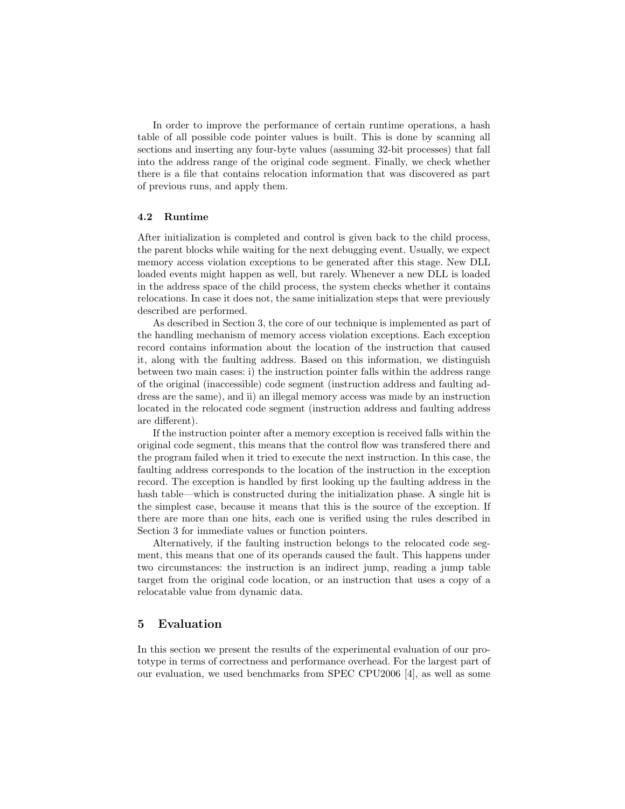In order to improve the performance of certain runtime operations, a hash table of all possible code pointer values is built. This is done by scanning all sections and inserting any four-byte values (assuming 32-bit processes) that fall into the address range of the original code segment. Finally, we check whether there is a file that contains relocation information that was discovered as part of previous runs, and apply them.

#### 4.2 Runtime

After initialization is completed and control is given back to the child process, the parent blocks while waiting for the next debugging event. Usually, we expect memory access violation exceptions to be generated after this stage. New DLL loaded events might happen as well, but rarely. Whenever a new DLL is loaded in the address space of the child process, the system checks whether it contains relocations. In case it does not, the same initialization steps that were previously described are performed.

As described in Section [3,](#page-4-0) the core of our technique is implemented as part of the handling mechanism of memory access violation exceptions. Each exception record contains information about the location of the instruction that caused it, along with the faulting address. Based on this information, we distinguish between two main cases: i) the instruction pointer falls within the address range of the original (inaccessible) code segment (instruction address and faulting address are the same), and ii) an illegal memory access was made by an instruction located in the relocated code segment (instruction address and faulting address are different).

If the instruction pointer after a memory exception is received falls within the original code segment, this means that the control flow was transfered there and the program failed when it tried to execute the next instruction. In this case, the faulting address corresponds to the location of the instruction in the exception record. The exception is handled by first looking up the faulting address in the hash table—which is constructed during the initialization phase. A single hit is the simplest case, because it means that this is the source of the exception. If there are more than one hits, each one is verified using the rules described in Section [3](#page-4-0) for immediate values or function pointers.

Alternatively, if the faulting instruction belongs to the relocated code segment, this means that one of its operands caused the fault. This happens under two circumstances: the instruction is an indirect jump, reading a jump table target from the original code location, or an instruction that uses a copy of a relocatable value from dynamic data.

## 5 Evaluation

In this section we present the results of the experimental evaluation of our prototype in terms of correctness and performance overhead. For the largest part of our evaluation, we used benchmarks from SPEC CPU2006 [\[4\]](#page-17-12), as well as some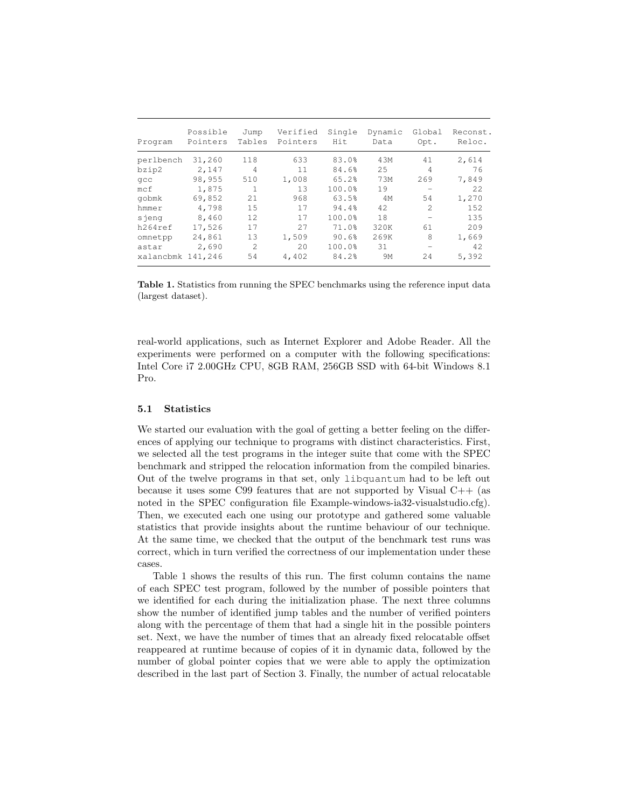| Program   | Possible<br>Pointers | Jump<br>Tables | Verified<br>Pointers | Single<br>Hit | Dynamic<br>Data | Global<br>Opt. | Reconst.<br>Reloc. |
|-----------|----------------------|----------------|----------------------|---------------|-----------------|----------------|--------------------|
| perlbench | 31,260               | 118            | 633                  | 83.0%         | 43M             | 41             | 2,614              |
| bzip2     | 2,147                | $\overline{4}$ | 11                   | 84.6%         | 25              | 4              | 76                 |
| qcc       | 98,955               | 510            | 1,008                | 65.2%         | <b>73M</b>      | 269            | 7,849              |
| mcf       | 1,875                |                | 13                   | 100.0%        | 19              |                | 22                 |
| qobmk     | 69,852               | 2.1            | 968                  | 63.5%         | 4M              | 54             | 1,270              |
| hmmer     | 4,798                | 15             | 17                   | 94.4%         | 42              | $\mathfrak{D}$ | 152                |
| sjeng     | 8,460                | 12.            | 17                   | 100.0%        | 18              |                | 135                |
| h264ref   | 17,526               | 17             | 2.7                  | 71.0%         | 320K            | 61             | 209                |
| omnetpp   | 24,861               | 13             | 1,509                | 90.6%         | 269K            | 8              | 1,669              |
| astar     | 2,690                | $\mathfrak{D}$ | 20                   | 100.0%        | 31              |                | 42                 |
| xalancbmk | 141,246              | 54             | 4,402                | 84.2%         | 9M              | 2.4            | 5,392              |

<span id="page-12-0"></span>Table 1. Statistics from running the SPEC benchmarks using the reference input data (largest dataset).

real-world applications, such as Internet Explorer and Adobe Reader. All the experiments were performed on a computer with the following specifications: Intel Core i7 2.00GHz CPU, 8GB RAM, 256GB SSD with 64-bit Windows 8.1 Pro.

## 5.1 Statistics

We started our evaluation with the goal of getting a better feeling on the differences of applying our technique to programs with distinct characteristics. First, we selected all the test programs in the integer suite that come with the SPEC benchmark and stripped the relocation information from the compiled binaries. Out of the twelve programs in that set, only libquantum had to be left out because it uses some C99 features that are not supported by Visual  $C++$  (as noted in the SPEC configuration file Example-windows-ia32-visualstudio.cfg). Then, we executed each one using our prototype and gathered some valuable statistics that provide insights about the runtime behaviour of our technique. At the same time, we checked that the output of the benchmark test runs was correct, which in turn verified the correctness of our implementation under these cases.

Table [1](#page-12-0) shows the results of this run. The first column contains the name of each SPEC test program, followed by the number of possible pointers that we identified for each during the initialization phase. The next three columns show the number of identified jump tables and the number of verified pointers along with the percentage of them that had a single hit in the possible pointers set. Next, we have the number of times that an already fixed relocatable offset reappeared at runtime because of copies of it in dynamic data, followed by the number of global pointer copies that we were able to apply the optimization described in the last part of Section [3.](#page-4-0) Finally, the number of actual relocatable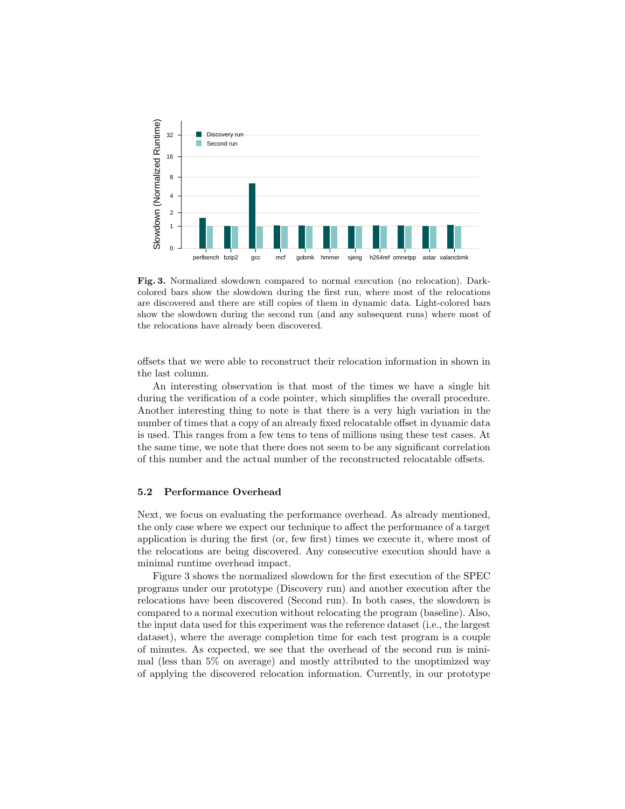

<span id="page-13-0"></span>Fig. 3. Normalized slowdown compared to normal execution (no relocation). Darkcolored bars show the slowdown during the first run, where most of the relocations are discovered and there are still copies of them in dynamic data. Light-colored bars show the slowdown during the second run (and any subsequent runs) where most of the relocations have already been discovered.

offsets that we were able to reconstruct their relocation information in shown in the last column.

An interesting observation is that most of the times we have a single hit during the verification of a code pointer, which simplifies the overall procedure. Another interesting thing to note is that there is a very high variation in the number of times that a copy of an already fixed relocatable offset in dynamic data is used. This ranges from a few tens to tens of millions using these test cases. At the same time, we note that there does not seem to be any significant correlation of this number and the actual number of the reconstructed relocatable offsets.

#### 5.2 Performance Overhead

Next, we focus on evaluating the performance overhead. As already mentioned, the only case where we expect our technique to affect the performance of a target application is during the first (or, few first) times we execute it, where most of the relocations are being discovered. Any consecutive execution should have a minimal runtime overhead impact.

Figure [3](#page-13-0) shows the normalized slowdown for the first execution of the SPEC programs under our prototype (Discovery run) and another execution after the relocations have been discovered (Second run). In both cases, the slowdown is compared to a normal execution without relocating the program (baseline). Also, the input data used for this experiment was the reference dataset (i.e., the largest dataset), where the average completion time for each test program is a couple of minutes. As expected, we see that the overhead of the second run is minimal (less than 5% on average) and mostly attributed to the unoptimized way of applying the discovered relocation information. Currently, in our prototype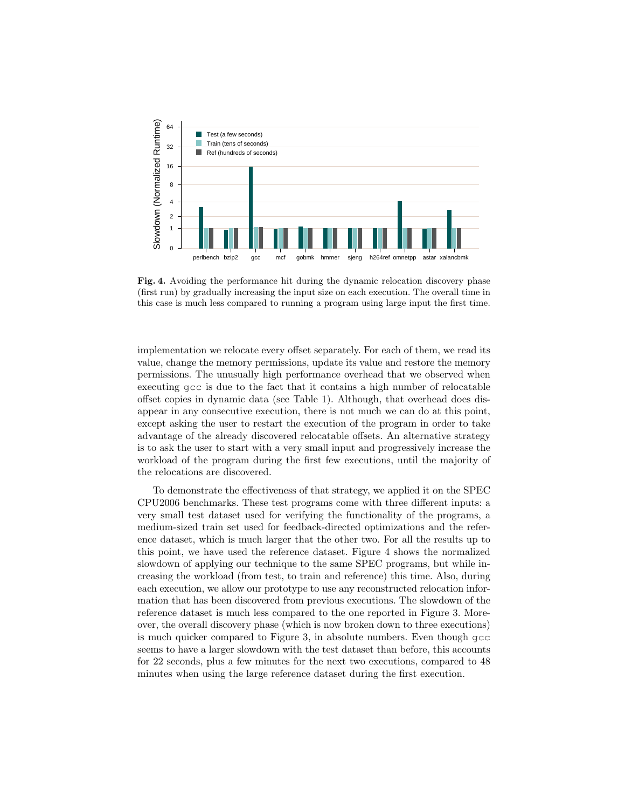

<span id="page-14-0"></span>Fig. 4. Avoiding the performance hit during the dynamic relocation discovery phase (first run) by gradually increasing the input size on each execution. The overall time in this case is much less compared to running a program using large input the first time.

implementation we relocate every offset separately. For each of them, we read its value, change the memory permissions, update its value and restore the memory permissions. The unusually high performance overhead that we observed when executing gcc is due to the fact that it contains a high number of relocatable offset copies in dynamic data (see Table [1\)](#page-12-0). Although, that overhead does disappear in any consecutive execution, there is not much we can do at this point, except asking the user to restart the execution of the program in order to take advantage of the already discovered relocatable offsets. An alternative strategy is to ask the user to start with a very small input and progressively increase the workload of the program during the first few executions, until the majority of the relocations are discovered.

To demonstrate the effectiveness of that strategy, we applied it on the SPEC CPU2006 benchmarks. These test programs come with three different inputs: a very small test dataset used for verifying the functionality of the programs, a medium-sized train set used for feedback-directed optimizations and the reference dataset, which is much larger that the other two. For all the results up to this point, we have used the reference dataset. Figure [4](#page-14-0) shows the normalized slowdown of applying our technique to the same SPEC programs, but while increasing the workload (from test, to train and reference) this time. Also, during each execution, we allow our prototype to use any reconstructed relocation information that has been discovered from previous executions. The slowdown of the reference dataset is much less compared to the one reported in Figure [3.](#page-13-0) Moreover, the overall discovery phase (which is now broken down to three executions) is much quicker compared to Figure [3,](#page-13-0) in absolute numbers. Even though gcc seems to have a larger slowdown with the test dataset than before, this accounts for 22 seconds, plus a few minutes for the next two executions, compared to 48 minutes when using the large reference dataset during the first execution.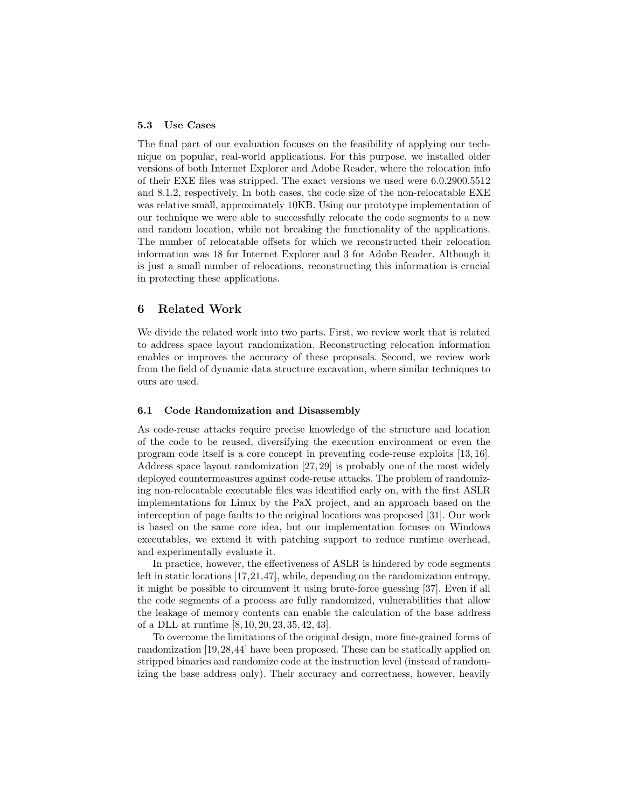#### 5.3 Use Cases

The final part of our evaluation focuses on the feasibility of applying our technique on popular, real-world applications. For this purpose, we installed older versions of both Internet Explorer and Adobe Reader, where the relocation info of their EXE files was stripped. The exact versions we used were 6.0.2900.5512 and 8.1.2, respectively. In both cases, the code size of the non-relocatable EXE was relative small, approximately 10KB. Using our prototype implementation of our technique we were able to successfully relocate the code segments to a new and random location, while not breaking the functionality of the applications. The number of relocatable offsets for which we reconstructed their relocation information was 18 for Internet Explorer and 3 for Adobe Reader. Although it is just a small number of relocations, reconstructing this information is crucial in protecting these applications.

## 6 Related Work

We divide the related work into two parts. First, we review work that is related to address space layout randomization. Reconstructing relocation information enables or improves the accuracy of these proposals. Second, we review work from the field of dynamic data structure excavation, where similar techniques to ours are used.

## 6.1 Code Randomization and Disassembly

As code-reuse attacks require precise knowledge of the structure and location of the code to be reused, diversifying the execution environment or even the program code itself is a core concept in preventing code-reuse exploits [\[13,](#page-17-7) [16\]](#page-18-7). Address space layout randomization [\[27,](#page-18-0) [29\]](#page-18-6) is probably one of the most widely deployed countermeasures against code-reuse attacks. The problem of randomizing non-relocatable executable files was identified early on, with the first ASLR implementations for Linux by the PaX project, and an approach based on the interception of page faults to the original locations was proposed [\[31\]](#page-18-14). Our work is based on the same core idea, but our implementation focuses on Windows executables, we extend it with patching support to reduce runtime overhead, and experimentally evaluate it.

In practice, however, the effectiveness of ASLR is hindered by code segments left in static locations [\[17,](#page-18-10)[21,](#page-18-11)[47\]](#page-19-7), while, depending on the randomization entropy, it might be possible to circumvent it using brute-force guessing [\[37\]](#page-19-9). Even if all the code segments of a process are fully randomized, vulnerabilities that allow the leakage of memory contents can enable the calculation of the base address of a DLL at runtime [\[8,](#page-17-4) [10,](#page-17-5) [20,](#page-18-4) [23,](#page-18-5) [35,](#page-19-3) [42,](#page-19-4) [43\]](#page-19-5).

To overcome the limitations of the original design, more fine-grained forms of randomization [\[19,](#page-18-9)[28,](#page-18-2)[44\]](#page-19-6) have been proposed. These can be statically applied on stripped binaries and randomize code at the instruction level (instead of randomizing the base address only). Their accuracy and correctness, however, heavily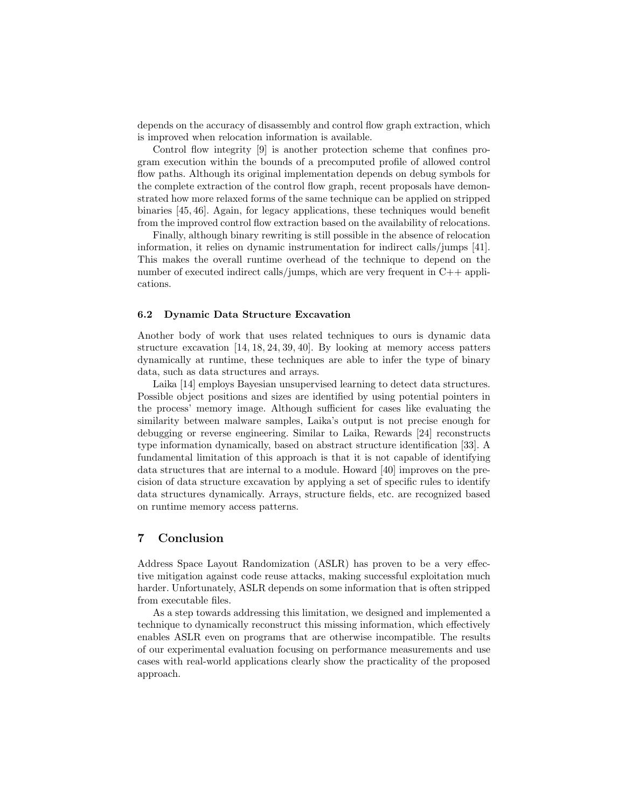depends on the accuracy of disassembly and control flow graph extraction, which is improved when relocation information is available.

Control flow integrity [\[9\]](#page-17-13) is another protection scheme that confines program execution within the bounds of a precomputed profile of allowed control flow paths. Although its original implementation depends on debug symbols for the complete extraction of the control flow graph, recent proposals have demonstrated how more relaxed forms of the same technique can be applied on stripped binaries [\[45,](#page-19-2) [46\]](#page-19-10). Again, for legacy applications, these techniques would benefit from the improved control flow extraction based on the availability of relocations.

Finally, although binary rewriting is still possible in the absence of relocation information, it relies on dynamic instrumentation for indirect calls/jumps [\[41\]](#page-19-11). This makes the overall runtime overhead of the technique to depend on the number of executed indirect calls/jumps, which are very frequent in C++ applications.

## 6.2 Dynamic Data Structure Excavation

Another body of work that uses related techniques to ours is dynamic data structure excavation [\[14,](#page-17-14) [18,](#page-18-15) [24,](#page-18-16) [39,](#page-19-12) [40\]](#page-19-13). By looking at memory access patters dynamically at runtime, these techniques are able to infer the type of binary data, such as data structures and arrays.

Laika [\[14\]](#page-17-14) employs Bayesian unsupervised learning to detect data structures. Possible object positions and sizes are identified by using potential pointers in the process' memory image. Although sufficient for cases like evaluating the similarity between malware samples, Laika's output is not precise enough for debugging or reverse engineering. Similar to Laika, Rewards [\[24\]](#page-18-16) reconstructs type information dynamically, based on abstract structure identification [\[33\]](#page-18-17). A fundamental limitation of this approach is that it is not capable of identifying data structures that are internal to a module. Howard [\[40\]](#page-19-13) improves on the precision of data structure excavation by applying a set of specific rules to identify data structures dynamically. Arrays, structure fields, etc. are recognized based on runtime memory access patterns.

## 7 Conclusion

Address Space Layout Randomization (ASLR) has proven to be a very effective mitigation against code reuse attacks, making successful exploitation much harder. Unfortunately, ASLR depends on some information that is often stripped from executable files.

As a step towards addressing this limitation, we designed and implemented a technique to dynamically reconstruct this missing information, which effectively enables ASLR even on programs that are otherwise incompatible. The results of our experimental evaluation focusing on performance measurements and use cases with real-world applications clearly show the practicality of the proposed approach.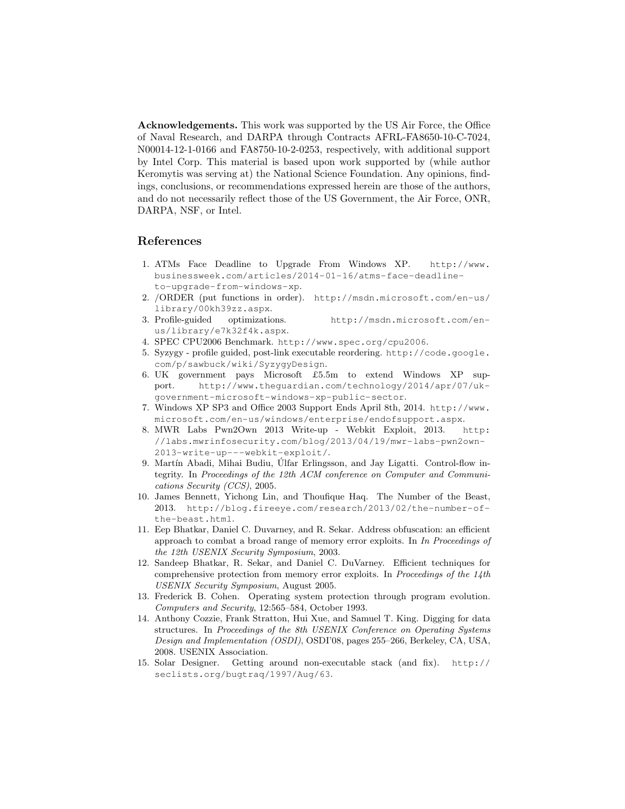Acknowledgements. This work was supported by the US Air Force, the Office of Naval Research, and DARPA through Contracts AFRL-FA8650-10-C-7024, N00014-12-1-0166 and FA8750-10-2-0253, respectively, with additional support by Intel Corp. This material is based upon work supported by (while author Keromytis was serving at) the National Science Foundation. Any opinions, findings, conclusions, or recommendations expressed herein are those of the authors, and do not necessarily reflect those of the US Government, the Air Force, ONR, DARPA, NSF, or Intel.

# References

- <span id="page-17-1"></span>1. ATMs Face Deadline to Upgrade From Windows XP. [http://www.](http://www.businessweek.com/articles/2014-01-16/atms-face-deadline-to-upgrade-from-windows-xp) [businessweek.com/articles/2014-01-16/atms-face-deadline](http://www.businessweek.com/articles/2014-01-16/atms-face-deadline-to-upgrade-from-windows-xp)[to-upgrade-from-windows-xp](http://www.businessweek.com/articles/2014-01-16/atms-face-deadline-to-upgrade-from-windows-xp).
- <span id="page-17-8"></span>2. /ORDER (put functions in order). [http://msdn.microsoft.com/en-us/](http://msdn.microsoft.com/en-us/library/00kh39zz.aspx) [library/00kh39zz.aspx](http://msdn.microsoft.com/en-us/library/00kh39zz.aspx).
- [us/library/e7k32f4k.aspx](http://msdn.microsoft.com/en-us/library/e7k32f4k.aspx).

<span id="page-17-10"></span>3. Profile-guided optimizations. [http://msdn.microsoft.com/en-](http://msdn.microsoft.com/en-us/library/e7k32f4k.aspx)

- <span id="page-17-12"></span>4. SPEC CPU2006 Benchmark. <http://www.spec.org/cpu2006>.
- <span id="page-17-11"></span>5. Syzygy - profile guided, post-link executable reordering. [http://code.google.](http://code.google.com/p/sawbuck/wiki/SyzygyDesign) [com/p/sawbuck/wiki/SyzygyDesign](http://code.google.com/p/sawbuck/wiki/SyzygyDesign).
- <span id="page-17-2"></span>6. UK government pays Microsoft £5.5m to extend Windows XP support. [http://www.theguardian.com/technology/2014/apr/07/uk](http://www.theguardian.com/technology/2014/apr/07/uk-government-microsoft-windows-xp-public-sector)[government-microsoft-windows-xp-public-sector](http://www.theguardian.com/technology/2014/apr/07/uk-government-microsoft-windows-xp-public-sector).
- <span id="page-17-0"></span>7. Windows XP SP3 and Office 2003 Support Ends April 8th, 2014. [http://www.](http://www.microsoft.com/en-us/windows/enterprise/endofsupport.aspx) [microsoft.com/en-us/windows/enterprise/endofsupport.aspx](http://www.microsoft.com/en-us/windows/enterprise/endofsupport.aspx).
- <span id="page-17-4"></span>8. MWR Labs Pwn2Own 2013 Write-up - Webkit Exploit, 2013. [http:](http://labs.mwrinfosecurity.com/blog/2013/04/19/mwr-labs-pwn2own-2013-write-up---webkit-exploit/) [//labs.mwrinfosecurity.com/blog/2013/04/19/mwr-labs-pwn2own-](http://labs.mwrinfosecurity.com/blog/2013/04/19/mwr-labs-pwn2own-2013-write-up---webkit-exploit/)[2013-write-up---webkit-exploit/](http://labs.mwrinfosecurity.com/blog/2013/04/19/mwr-labs-pwn2own-2013-write-up---webkit-exploit/).
- <span id="page-17-13"></span>9. Martín Abadi, Mihai Budiu, Ulfar Erlingsson, and Jay Ligatti. Control-flow integrity. In Proceedings of the 12th ACM conference on Computer and Communications Security (CCS), 2005.
- <span id="page-17-5"></span>10. James Bennett, Yichong Lin, and Thoufique Haq. The Number of the Beast, 2013. [http://blog.fireeye.com/research/2013/02/the-number-of](http://blog.fireeye.com/research/2013/02/the-number-of-the-beast.html)[the-beast.html](http://blog.fireeye.com/research/2013/02/the-number-of-the-beast.html).
- <span id="page-17-6"></span>11. Eep Bhatkar, Daniel C. Duvarney, and R. Sekar. Address obfuscation: an efficient approach to combat a broad range of memory error exploits. In In Proceedings of the 12th USENIX Security Symposium, 2003.
- <span id="page-17-9"></span>12. Sandeep Bhatkar, R. Sekar, and Daniel C. DuVarney. Efficient techniques for comprehensive protection from memory error exploits. In Proceedings of the 14th USENIX Security Symposium, August 2005.
- <span id="page-17-7"></span>13. Frederick B. Cohen. Operating system protection through program evolution. Computers and Security, 12:565–584, October 1993.
- <span id="page-17-14"></span>14. Anthony Cozzie, Frank Stratton, Hui Xue, and Samuel T. King. Digging for data structures. In Proceedings of the 8th USENIX Conference on Operating Systems Design and Implementation (OSDI), OSDI'08, pages 255–266, Berkeley, CA, USA, 2008. USENIX Association.
- <span id="page-17-3"></span>15. Solar Designer. Getting around non-executable stack (and fix). [http://](http://seclists.org/bugtraq/1997/Aug/63) [seclists.org/bugtraq/1997/Aug/63](http://seclists.org/bugtraq/1997/Aug/63).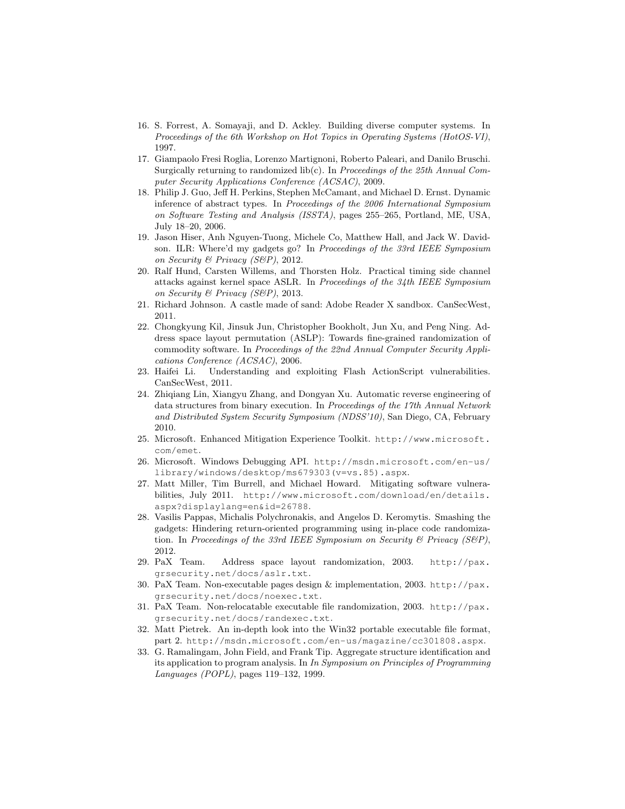- <span id="page-18-7"></span>16. S. Forrest, A. Somayaji, and D. Ackley. Building diverse computer systems. In Proceedings of the 6th Workshop on Hot Topics in Operating Systems (HotOS-VI), 1997.
- <span id="page-18-10"></span>17. Giampaolo Fresi Roglia, Lorenzo Martignoni, Roberto Paleari, and Danilo Bruschi. Surgically returning to randomized lib(c). In Proceedings of the 25th Annual Computer Security Applications Conference (ACSAC), 2009.
- <span id="page-18-15"></span>18. Philip J. Guo, Jeff H. Perkins, Stephen McCamant, and Michael D. Ernst. Dynamic inference of abstract types. In Proceedings of the 2006 International Symposium on Software Testing and Analysis (ISSTA), pages 255–265, Portland, ME, USA, July 18–20, 2006.
- <span id="page-18-9"></span>19. Jason Hiser, Anh Nguyen-Tuong, Michele Co, Matthew Hall, and Jack W. Davidson. ILR: Where'd my gadgets go? In Proceedings of the 33rd IEEE Symposium on Security & Privacy (S&P), 2012.
- <span id="page-18-4"></span>20. Ralf Hund, Carsten Willems, and Thorsten Holz. Practical timing side channel attacks against kernel space ASLR. In Proceedings of the 34th IEEE Symposium on Security & Privacy (S&P), 2013.
- <span id="page-18-11"></span>21. Richard Johnson. A castle made of sand: Adobe Reader X sandbox. CanSecWest, 2011.
- <span id="page-18-8"></span>22. Chongkyung Kil, Jinsuk Jun, Christopher Bookholt, Jun Xu, and Peng Ning. Address space layout permutation (ASLP): Towards fine-grained randomization of commodity software. In Proceedings of the 22nd Annual Computer Security Applications Conference (ACSAC), 2006.
- <span id="page-18-5"></span>23. Haifei Li. Understanding and exploiting Flash ActionScript vulnerabilities. CanSecWest, 2011.
- <span id="page-18-16"></span>24. Zhiqiang Lin, Xiangyu Zhang, and Dongyan Xu. Automatic reverse engineering of data structures from binary execution. In Proceedings of the 17th Annual Network and Distributed System Security Symposium (NDSS'10), San Diego, CA, February 2010.
- <span id="page-18-1"></span>25. Microsoft. Enhanced Mitigation Experience Toolkit. [http://www.microsoft.](http://www.microsoft.com/emet) [com/emet](http://www.microsoft.com/emet).
- <span id="page-18-13"></span>26. Microsoft. Windows Debugging API. [http://msdn.microsoft.com/en-us/](http://msdn.microsoft.com/en-us/library/windows/desktop/ms679303(v=vs.85).aspx) [library/windows/desktop/ms679303\(v=vs.85\).aspx](http://msdn.microsoft.com/en-us/library/windows/desktop/ms679303(v=vs.85).aspx).
- <span id="page-18-0"></span>27. Matt Miller, Tim Burrell, and Michael Howard. Mitigating software vulnerabilities, July 2011. [http://www.microsoft.com/download/en/details.](http://www.microsoft.com/download/en/details.aspx?displaylang=en&id=26788) [aspx?displaylang=en&id=26788](http://www.microsoft.com/download/en/details.aspx?displaylang=en&id=26788).
- <span id="page-18-2"></span>28. Vasilis Pappas, Michalis Polychronakis, and Angelos D. Keromytis. Smashing the gadgets: Hindering return-oriented programming using in-place code randomization. In Proceedings of the 33rd IEEE Symposium on Security & Privacy (S&P), 2012.
- <span id="page-18-6"></span>29. PaX Team. Address space layout randomization, 2003. [http://pax.](http://pax.grsecurity.net/docs/aslr.txt) [grsecurity.net/docs/aslr.txt](http://pax.grsecurity.net/docs/aslr.txt).
- <span id="page-18-3"></span>30. PaX Team. Non-executable pages design & implementation, 2003. [http://pax.](http://pax.grsecurity.net/docs/noexec.txt) [grsecurity.net/docs/noexec.txt](http://pax.grsecurity.net/docs/noexec.txt).
- <span id="page-18-14"></span>31. PaX Team. Non-relocatable executable file randomization, 2003. [http://pax.](http://pax.grsecurity.net/docs/randexec.txt) [grsecurity.net/docs/randexec.txt](http://pax.grsecurity.net/docs/randexec.txt).
- <span id="page-18-12"></span>32. Matt Pietrek. An in-depth look into the Win32 portable executable file format, part 2. <http://msdn.microsoft.com/en-us/magazine/cc301808.aspx>.
- <span id="page-18-17"></span>33. G. Ramalingam, John Field, and Frank Tip. Aggregate structure identification and its application to program analysis. In In Symposium on Principles of Programming Languages (POPL), pages 119–132, 1999.